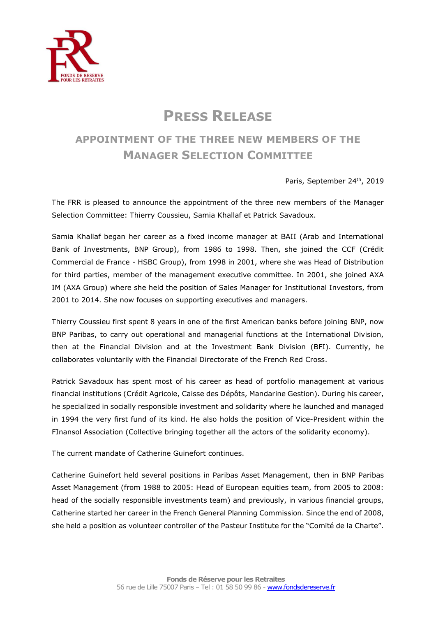

## **PRESS RELEASE**

## **APPOINTMENT OF THE THREE NEW MEMBERS OF THE MANAGER SELECTION COMMITTEE**

Paris, September 24<sup>th</sup>, 2019

The FRR is pleased to announce the appointment of the three new members of the Manager Selection Committee: Thierry Coussieu, Samia Khallaf et Patrick Savadoux.

Samia Khallaf began her career as a fixed income manager at BAII (Arab and International Bank of Investments, BNP Group), from 1986 to 1998. Then, she joined the CCF (Crédit Commercial de France - HSBC Group), from 1998 in 2001, where she was Head of Distribution for third parties, member of the management executive committee. In 2001, she joined AXA IM (AXA Group) where she held the position of Sales Manager for Institutional Investors, from 2001 to 2014. She now focuses on supporting executives and managers.

Thierry Coussieu first spent 8 years in one of the first American banks before joining BNP, now BNP Paribas, to carry out operational and managerial functions at the International Division, then at the Financial Division and at the Investment Bank Division (BFI). Currently, he collaborates voluntarily with the Financial Directorate of the French Red Cross.

Patrick Savadoux has spent most of his career as head of portfolio management at various financial institutions (Crédit Agricole, Caisse des Dépôts, Mandarine Gestion). During his career, he specialized in socially responsible investment and solidarity where he launched and managed in 1994 the very first fund of its kind. He also holds the position of Vice-President within the FInansol Association (Collective bringing together all the actors of the solidarity economy).

The current mandate of Catherine Guinefort continues.

Catherine Guinefort held several positions in Paribas Asset Management, then in BNP Paribas Asset Management (from 1988 to 2005: Head of European equities team, from 2005 to 2008: head of the socially responsible investments team) and previously, in various financial groups, Catherine started her career in the French General Planning Commission. Since the end of 2008, she held a position as volunteer controller of the Pasteur Institute for the "Comité de la Charte".